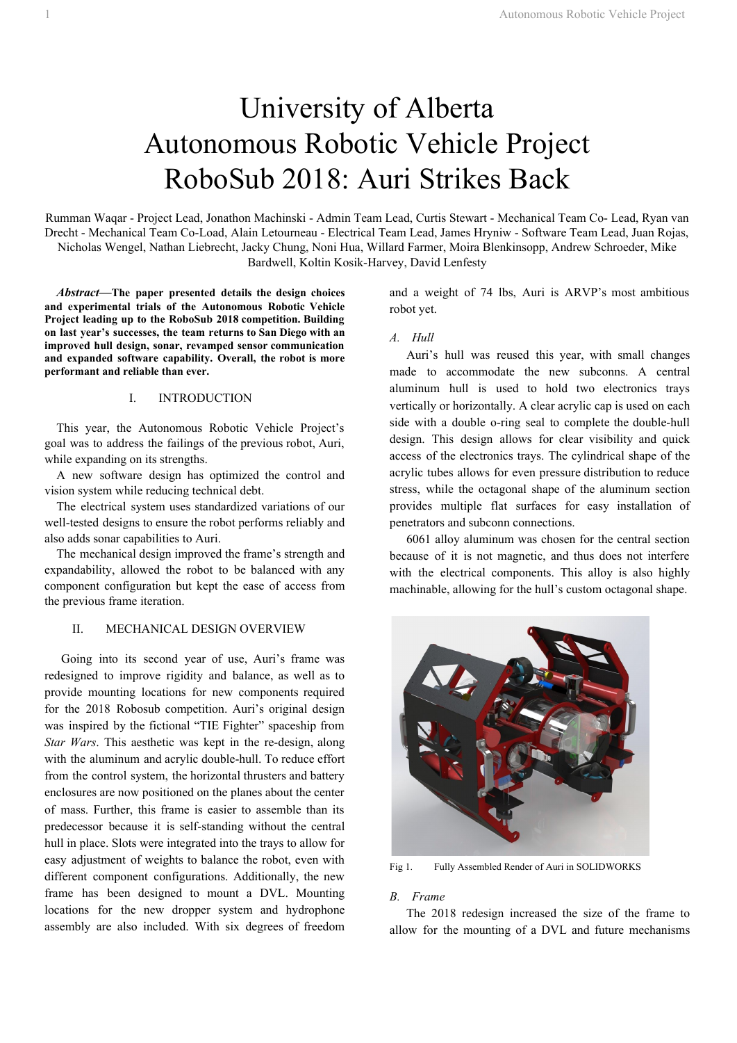# University of Alberta Autonomous Robotic Vehicle Project RoboSub 2018: Auri Strikes Back

Rumman Waqar - Project Lead, Jonathon Machinski - Admin Team Lead, Curtis Stewart - Mechanical Team Co- Lead, Ryan van Drecht - Mechanical Team Co-Load, Alain Letourneau - Electrical Team Lead, James Hryniw - Software Team Lead, Juan Rojas, Nicholas Wengel, Nathan Liebrecht, Jacky Chung, Noni Hua, Willard Farmer, Moira Blenkinsopp, Andrew Schroeder, Mike Bardwell, Koltin Kosik-Harvey, David Lenfesty

*Abstract***— The paper presented details the design choices and experimental trials of the Autonomous Robotic Vehicle Project leading up to the RoboSub 2018 competition. Building on last year's successes, the team returns to San Diego with an improved hull design, sonar, revamped sensor communication and expanded software capability. Overall, the robot is more performant and reliable than ever.**

## I. INTRODUCTION

This year, the Autonomous Robotic Vehicle Project's goal was to address the failings of the previous robot, Auri, while expanding on its strengths.

A new software design has optimized the control and vision system while reducing technical debt.

The electrical system uses standardized variations of our well-tested designs to ensure the robot performs reliably and also adds sonar capabilities to Auri.

The mechanical design improved the frame's strength and expandability, allowed the robot to be balanced with any component configuration but kept the ease of access from the previous frame iteration.

## II. MECHANICAL DESIGN OVERVIEW

Going into its second year of use, Auri's frame was redesigned to improve rigidity and balance, as well as to provide mounting locations for new components required for the 2018 Robosub competition. Auri's original design was inspired by the fictional "TIE Fighter" spaceship from *Star Wars*. This aesthetic was kept in the re-design, along with the aluminum and acrylic double-hull. To reduce effort from the control system, the horizontal thrusters and battery enclosures are now positioned on the planes about the center of mass. Further, this frame is easier to assemble than its predecessor because it is self-standing without the central hull in place. Slots were integrated into the trays to allow for easy adjustment of weights to balance the robot, even with different component configurations. Additionally, the new frame has been designed to mount a DVL. Mounting locations for the new dropper system and hydrophone assembly are also included. With six degrees of freedom

and a weight of 74 lbs, Auri is ARVP's most ambitious robot yet.

## *A. Hull*

Auri's hull was reused this year, with small changes made to accommodate the new subconns. A central aluminum hull is used to hold two electronics trays vertically or horizontally. A clear acrylic cap is used on each side with a double o-ring seal to complete the double-hull design. This design allows for clear visibility and quick access of the electronics trays. The cylindrical shape of the acrylic tubes allows for even pressure distribution to reduce stress, while the octagonal shape of the aluminum section provides multiple flat surfaces for easy installation of penetrators and subconn connections.

6061 alloy aluminum was chosen for the central section because of it is not magnetic, and thus does not interfere with the electrical components. This alloy is also highly machinable, allowing for the hull's custom octagonal shape.



Fig 1. Fully Assembled Render of Auri in SOLIDWORKS

## *B. Frame*

The 2018 redesign increased the size of the frame to allow for the mounting of a DVL and future mechanisms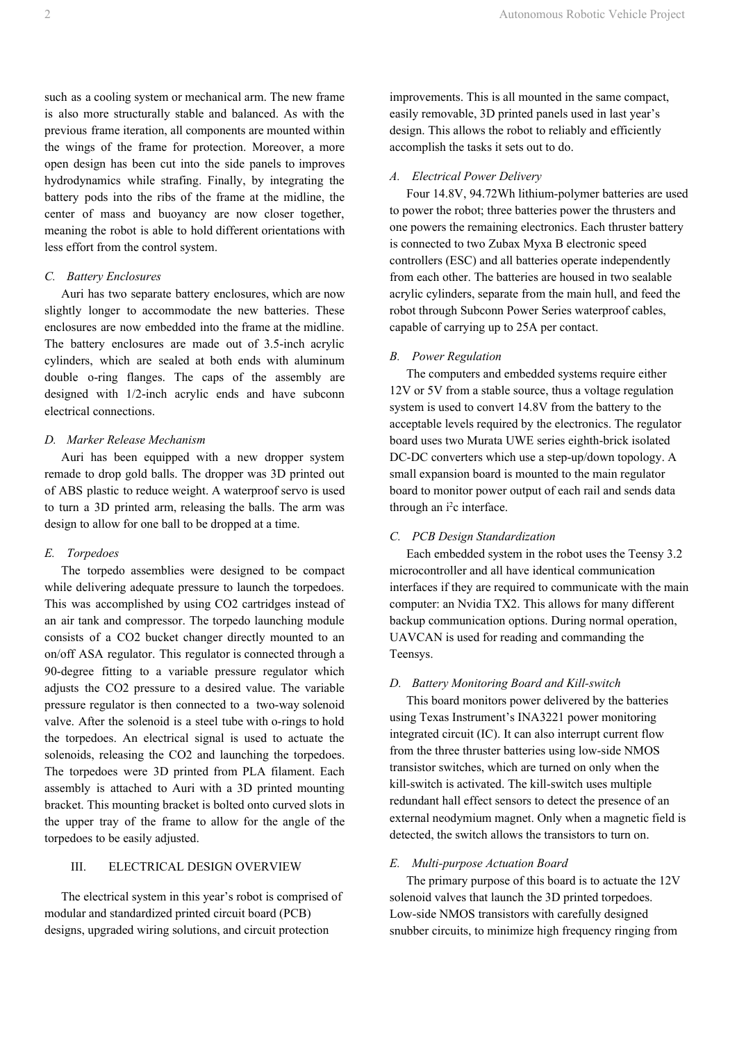such as a cooling system or mechanical arm. The new frame is also more structurally stable and balanced. As with the previous frame iteration, all components are mounted within the wings of the frame for protection. Moreover, a more open design has been cut into the side panels to improves hydrodynamics while strafing. Finally, by integrating the battery pods into the ribs of the frame at the midline, the center of mass and buoyancy are now closer together, meaning the robot is able to hold different orientations with less effort from the control system.

## *C. Battery Enclosures*

Auri has two separate battery enclosures, which are now slightly longer to accommodate the new batteries. These enclosures are now embedded into the frame at the midline. The battery enclosures are made out of 3.5-inch acrylic cylinders, which are sealed at both ends with aluminum double o-ring flanges. The caps of the assembly are designed with 1/2-inch acrylic ends and have subconn electrical connections.

# *D. Marker Release Mechanism*

Auri has been equipped with a new dropper system remade to drop gold balls. The dropper was 3D printed out of ABS plastic to reduce weight. A waterproof servo is used to turn a 3D printed arm, releasing the balls. The arm was design to allow for one ball to be dropped at a time.

## *E. Torpedoes*

The torpedo assemblies were designed to be compact while delivering adequate pressure to launch the torpedoes. This was accomplished by using CO2 cartridges instead of an air tank and compressor. The torpedo launching module consists of a CO2 bucket changer directly mounted to an on/off ASA regulator. This regulator is connected through a 90-degree fitting to a variable pressure regulator which adjusts the CO2 pressure to a desired value. The variable pressure regulator is then connected to a two-way solenoid valve. After the solenoid is a steel tube with o-rings to hold the torpedoes. An electrical signal is used to actuate the solenoids, releasing the CO2 and launching the torpedoes. The torpedoes were 3D printed from PLA filament. Each assembly is attached to Auri with a 3D printed mounting bracket. This mounting bracket is bolted onto curved slots in the upper tray of the frame to allow for the angle of the torpedoes to be easily adjusted.

## III. ELECTRICAL DESIGN OVERVIEW

The electrical system in this year's robot is comprised of modular and standardized printed circuit board (PCB) designs, upgraded wiring solutions, and circuit protection

improvements. This is all mounted in the same compact, easily removable, 3D printed panels used in last year's design. This allows the robot to reliably and efficiently accomplish the tasks it sets out to do.

# *A. Electrical Power Delivery*

Four 14.8V, 94.72Wh lithium-polymer batteries are used to power the robot; three batteries power the thrusters and one powers the remaining electronics. Each thruster battery is connected to two Zubax Myxa B electronic speed controllers (ESC) and all batteries operate independently from each other. The batteries are housed in two sealable acrylic cylinders, separate from the main hull, and feed the robot through Subconn Power Series waterproof cables, capable of carrying up to 25A per contact.

#### *B. Power Regulation*

The computers and embedded systems require either 12V or 5V from a stable source, thus a voltage regulation system is used to convert 14.8V from the battery to the acceptable levels required by the electronics. The regulator board uses two Murata UWE series eighth-brick isolated DC-DC converters which use a step-up/down topology. A small expansion board is mounted to the main regulator board to monitor power output of each rail and sends data through an i <sup>2</sup>c interface.

## *C. PCB Design Standardization*

Each embedded system in the robot uses the Teensy 3.2 microcontroller and all have identical communication interfaces if they are required to communicate with the main computer: an Nvidia TX2. This allows for many different backup communication options. During normal operation, UAVCAN is used for reading and commanding the Teensys.

#### *D. Battery Monitoring Board and Kill-switch*

This board monitors power delivered by the batteries using Texas Instrument's INA3221 power monitoring integrated circuit (IC). It can also interrupt current flow from the three thruster batteries using low-side NMOS transistor switches, which are turned on only when the kill-switch is activated. The kill-switch uses multiple redundant hall effect sensors to detect the presence of an external neodymium magnet. Only when a magnetic field is detected, the switch allows the transistors to turn on.

## *E. Multi-purpose Actuation Board*

The primary purpose of this board is to actuate the 12V solenoid valves that launch the 3D printed torpedoes. Low-side NMOS transistors with carefully designed snubber circuits, to minimize high frequency ringing from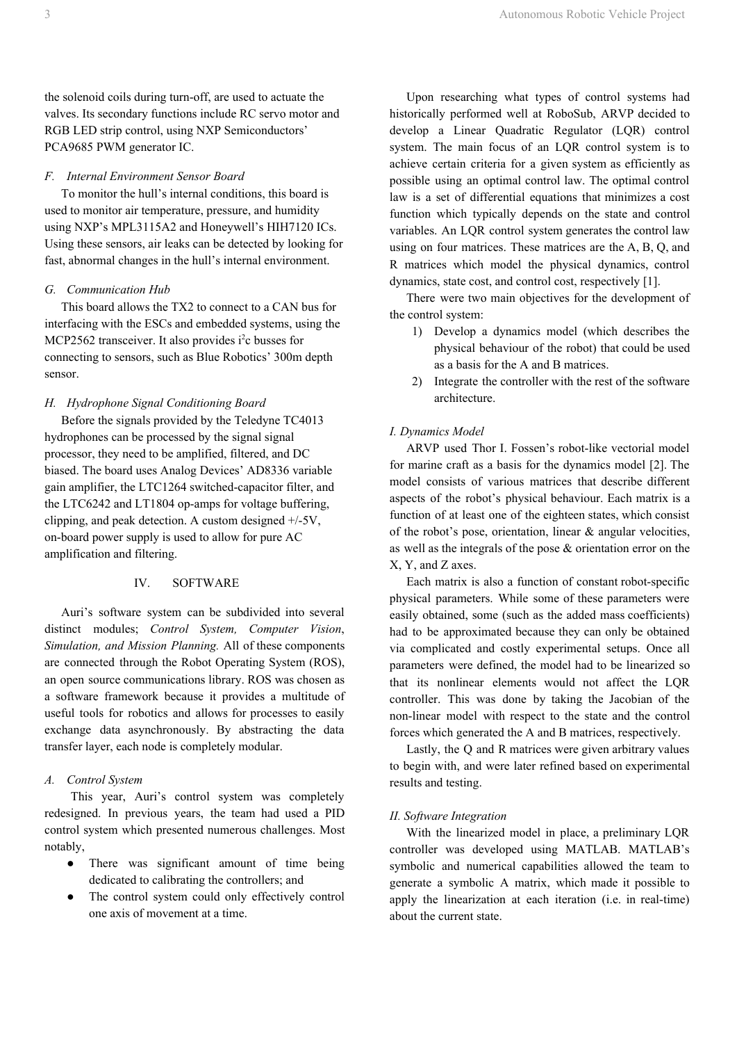the solenoid coils during turn-off, are used to actuate the valves. Its secondary functions include RC servo motor and RGB LED strip control, using NXP Semiconductors' PCA9685 PWM generator IC.

## *F. Internal Environment Sensor Board*

To monitor the hull's internal conditions, this board is used to monitor air temperature, pressure, and humidity using NXP's MPL3115A2 and Honeywell's HIH7120 ICs. Using these sensors, air leaks can be detected by looking for fast, abnormal changes in the hull's internal environment.

# *G. Communication Hub*

This board allows the TX2 to connect to a CAN bus for interfacing with the ESCs and embedded systems, using the MCP2562 transceiver. It also provides i<sup>2</sup>c busses for connecting to sensors, such as Blue Robotics' 300m depth sensor.

## *H. Hydrophone Signal Conditioning Board*

Before the signals provided by the Teledyne TC4013 hydrophones can be processed by the signal signal processor, they need to be amplified, filtered, and DC biased. The board uses Analog Devices' AD8336 variable gain amplifier, the LTC1264 switched-capacitor filter, and the LTC6242 and LT1804 op-amps for voltage buffering, clipping, and peak detection. A custom designed +/-5V, on-board power supply is used to allow for pure AC amplification and filtering.

## IV. SOFTWARE

Auri's software system can be subdivided into several distinct modules; *Control System, Computer Vision*, *Simulation, and Mission Planning.* All of these components are connected through the Robot Operating System (ROS), an open source communications library. ROS was chosen as a software framework because it provides a multitude of useful tools for robotics and allows for processes to easily exchange data asynchronously. By abstracting the data transfer layer, each node is completely modular.

## *A. Control System*

This year, Auri's control system was completely redesigned. In previous years, the team had used a PID control system which presented numerous challenges. Most notably,

- There was significant amount of time being dedicated to calibrating the controllers; and
- The control system could only effectively control one axis of movement at a time.

Upon researching what types of control systems had historically performed well at RoboSub, ARVP decided to develop a Linear Quadratic Regulator (LQR) control system. The main focus of an LQR control system is to achieve certain criteria for a given system as efficiently as possible using an optimal control law. The optimal control law is a set of differential equations that minimizes a cost function which typically depends on the state and control variables. An LQR control system generates the control law using on four matrices. These matrices are the A, B, Q, and R matrices which model the physical dynamics, control dynamics, state cost, and control cost, respectively [1].

There were two main objectives for the development of the control system:

- 1) Develop a dynamics model (which describes the physical behaviour of the robot) that could be used as a basis for the A and B matrices.
- 2) Integrate the controller with the rest of the software architecture.

# *I. Dynamics Model*

ARVP used Thor I. Fossen's robot-like vectorial model for marine craft as a basis for the dynamics model [2]. The model consists of various matrices that describe different aspects of the robot's physical behaviour. Each matrix is a function of at least one of the eighteen states, which consist of the robot's pose, orientation, linear & angular velocities, as well as the integrals of the pose & orientation error on the X, Y, and Z axes.

Each matrix is also a function of constant robot-specific physical parameters. While some of these parameters were easily obtained, some (such as the added mass coefficients) had to be approximated because they can only be obtained via complicated and costly experimental setups. Once all parameters were defined, the model had to be linearized so that its nonlinear elements would not affect the LQR controller. This was done by taking the Jacobian of the non-linear model with respect to the state and the control forces which generated the A and B matrices, respectively.

Lastly, the Q and R matrices were given arbitrary values to begin with, and were later refined based on experimental results and testing.

## *II. Software Integration*

With the linearized model in place, a preliminary LQR controller was developed using MATLAB. MATLAB's symbolic and numerical capabilities allowed the team to generate a symbolic A matrix, which made it possible to apply the linearization at each iteration (i.e. in real-time) about the current state.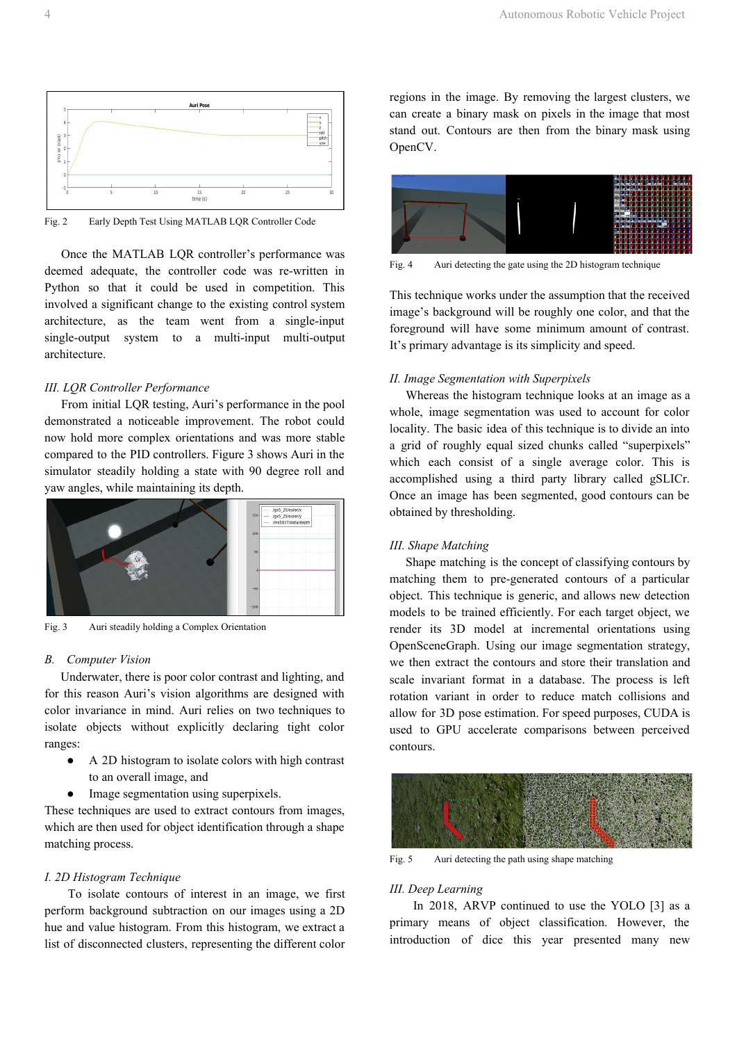

Fig. 2 Early Depth Test Using MATLAB LQR Controller Code

Once the MATLAB LQR controller's performance was deemed adequate, the controller code was re-written in Python so that it could be used in competition. This involved a significant change to the existing control system architecture, as the team went from a single-input single-output system to a multi-input multi-output architecture.

#### *III. LQR Controller Performance*

From initial LQR testing, Auri's performance in the pool demonstrated a noticeable improvement. The robot could now hold more complex orientations and was more stable compared to the PID controllers. Figure 3 shows Auri in the simulator steadily holding a state with 90 degree roll and yaw angles, while maintaining its depth.



Fig. 3 Auri steadily holding a Complex Orientation

## *B. Computer Vision*

Underwater, there is poor color contrast and lighting, and for this reason Auri's vision algorithms are designed with color invariance in mind. Auri relies on two techniques to isolate objects without explicitly declaring tight color ranges:

- A 2D histogram to isolate colors with high contrast to an overall image, and
- Image segmentation using superpixels.

These techniques are used to extract contours from images, which are then used for object identification through a shape matching process.

## *I. 2D Histogram Technique*

To isolate contours of interest in an image, we first perform background subtraction on our images using a 2D hue and value histogram. From this histogram, we extract a list of disconnected clusters, representing the different color

regions in the image. By removing the largest clusters, we can create a binary mask on pixels in the image that most stand out. Contours are then from the binary mask using OpenCV.



Fig. 4 Auri detecting the gate using the 2D histogram technique

This technique works under the assumption that the received image's background will be roughly one color, and that the foreground will have some minimum amount of contrast. It's primary advantage is its simplicity and speed.

## *II. Image Segmentation with Superpixels*

Whereas the histogram technique looks at an image as a whole, image segmentation was used to account for color locality. The basic idea of this technique is to divide an into a grid of roughly equal sized chunks called "superpixels" which each consist of a single average color. This is accomplished using a third party library called gSLICr. Once an image has been segmented, good contours can be obtained by thresholding.

## *III. Shape Matching*

Shape matching is the concept of classifying contours by matching them to pre-generated contours of a particular object. This technique is generic, and allows new detection models to be trained efficiently. For each target object, we render its 3D model at incremental orientations using OpenSceneGraph. Using our image segmentation strategy, we then extract the contours and store their translation and scale invariant format in a database. The process is left rotation variant in order to reduce match collisions and allow for 3D pose estimation. For speed purposes, CUDA is used to GPU accelerate comparisons between perceived contours.



Fig. 5 Auri detecting the path using shape matching

## *III. Deep Learning*

In 2018, ARVP continued to use the YOLO [3] as a primary means of object classification. However, the introduction of dice this year presented many new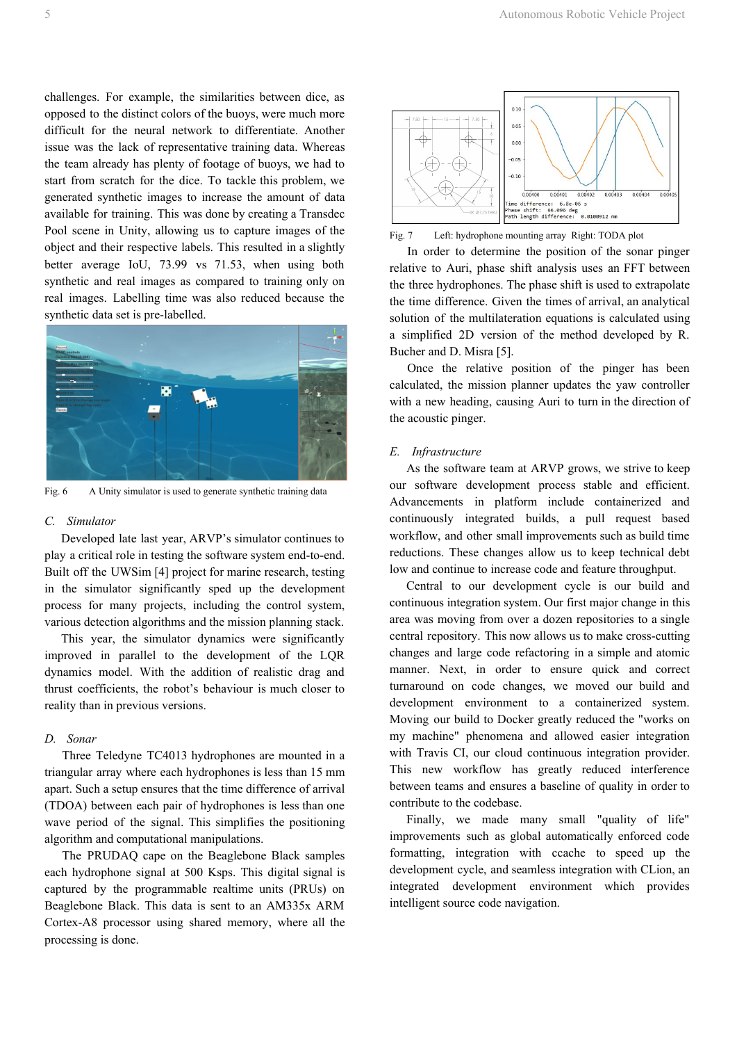challenges. For example, the similarities between dice, as opposed to the distinct colors of the buoys, were much more difficult for the neural network to differentiate. Another issue was the lack of representative training data. Whereas the team already has plenty of footage of buoys, we had to start from scratch for the dice. To tackle this problem, we generated synthetic images to increase the amount of data available for training. This was done by creating a Transdec Pool scene in Unity, allowing us to capture images of the object and their respective labels. This resulted in a slightly better average IoU, 73.99 vs 71.53, when using both synthetic and real images as compared to training only on real images. Labelling time was also reduced because the synthetic data set is pre-labelled.



Fig. 6 A Unity simulator is used to generate synthetic training data

#### *C. Simulator*

Developed late last year, ARVP's simulator continues to play a critical role in testing the software system end-to-end. Built off the UWSim [4] project for marine research, testing in the simulator significantly sped up the development process for many projects, including the control system, various detection algorithms and the mission planning stack.

This year, the simulator dynamics were significantly improved in parallel to the development of the LQR dynamics model. With the addition of realistic drag and thrust coefficients, the robot's behaviour is much closer to reality than in previous versions.

## *D. Sonar*

Three Teledyne TC4013 hydrophones are mounted in a triangular array where each hydrophones is less than 15 mm apart. Such a setup ensures that the time difference of arrival (TDOA) between each pair of hydrophones is less than one wave period of the signal. This simplifies the positioning algorithm and computational manipulations.

The PRUDAQ cape on the Beaglebone Black samples each hydrophone signal at 500 Ksps. This digital signal is captured by the programmable realtime units (PRUs) on Beaglebone Black. This data is sent to an AM335x ARM Cortex-A8 processor using shared memory, where all the processing is done.



Fig. 7 Left: hydrophone mounting array Right: TODA plot

In order to determine the position of the sonar pinger relative to Auri, phase shift analysis uses an FFT between the three hydrophones. The phase shift is used to extrapolate the time difference. Given the times of arrival, an analytical solution of the multilateration equations is calculated using a simplified 2D version of the method developed by R. Bucher and D. Misra [5].

Once the relative position of the pinger has been calculated, the mission planner updates the yaw controller with a new heading, causing Auri to turn in the direction of the acoustic pinger.

#### *E. Infrastructure*

As the software team at ARVP grows, we strive to keep our software development process stable and efficient. Advancements in platform include containerized and continuously integrated builds, a pull request based workflow, and other small improvements such as build time reductions. These changes allow us to keep technical debt low and continue to increase code and feature throughput.

Central to our development cycle is our build and continuous integration system. Our first major change in this area was moving from over a dozen repositories to a single central repository. This now allows us to make cross-cutting changes and large code refactoring in a simple and atomic manner. Next, in order to ensure quick and correct turnaround on code changes, we moved our build and development environment to a containerized system. Moving our build to Docker greatly reduced the "works on my machine" phenomena and allowed easier integration with Travis CI, our cloud continuous integration provider. This new workflow has greatly reduced interference between teams and ensures a baseline of quality in order to contribute to the codebase.

Finally, we made many small "quality of life" improvements such as global automatically enforced code formatting, integration with ccache to speed up the development cycle, and seamless integration with CLion, an integrated development environment which provides intelligent source code navigation.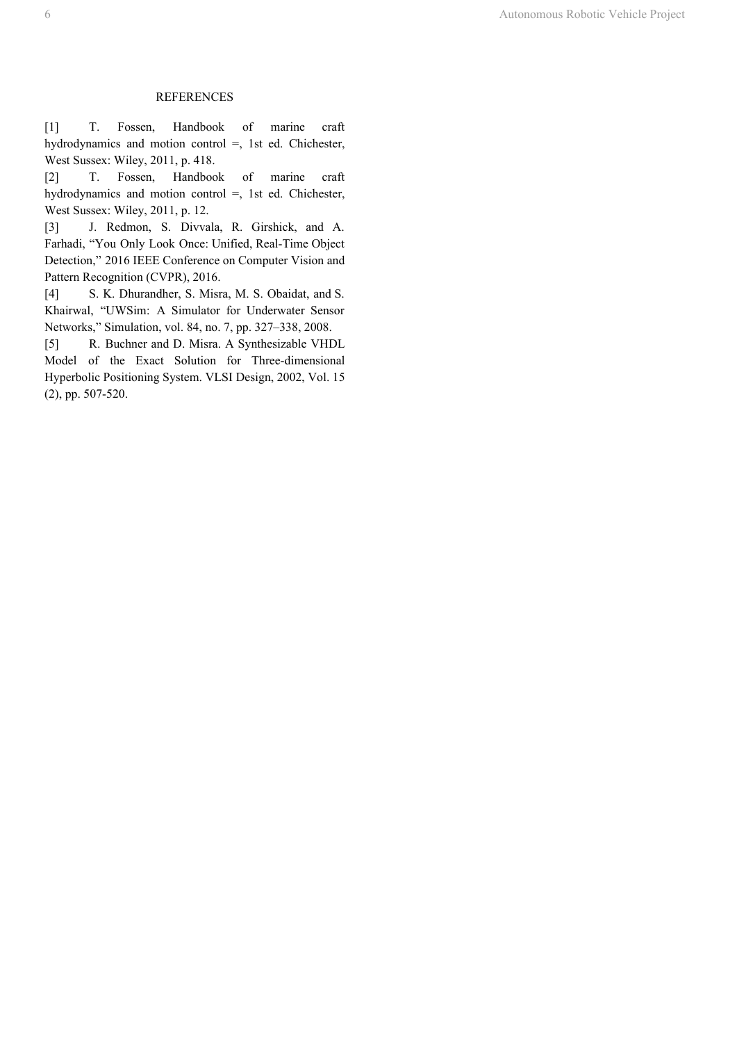#### REFERENCES

[1] T. Fossen, Handbook of marine craft hydrodynamics and motion control =, 1st ed. Chichester, West Sussex: Wiley, 2011, p. 418.

[2] T. Fossen, Handbook of marine craft hydrodynamics and motion control =, 1st ed. Chichester, West Sussex: Wiley, 2011, p. 12.

[3] J. Redmon, S. Divvala, R. Girshick, and A. Farhadi, "You Only Look Once: Unified, Real-Time Object Detection," 2016 IEEE Conference on Computer Vision and Pattern Recognition (CVPR), 2016.

[4] S. K. Dhurandher, S. Misra, M. S. Obaidat, and S. Khairwal, "UWSim: A Simulator for Underwater Sensor Networks," Simulation, vol. 84, no. 7, pp. 327–338, 2008.

[5] R. Buchner and D. Misra. A Synthesizable VHDL Model of the Exact Solution for Three-dimensional Hyperbolic Positioning System. VLSI Design, 2002, Vol. 15 (2), pp. 507-520.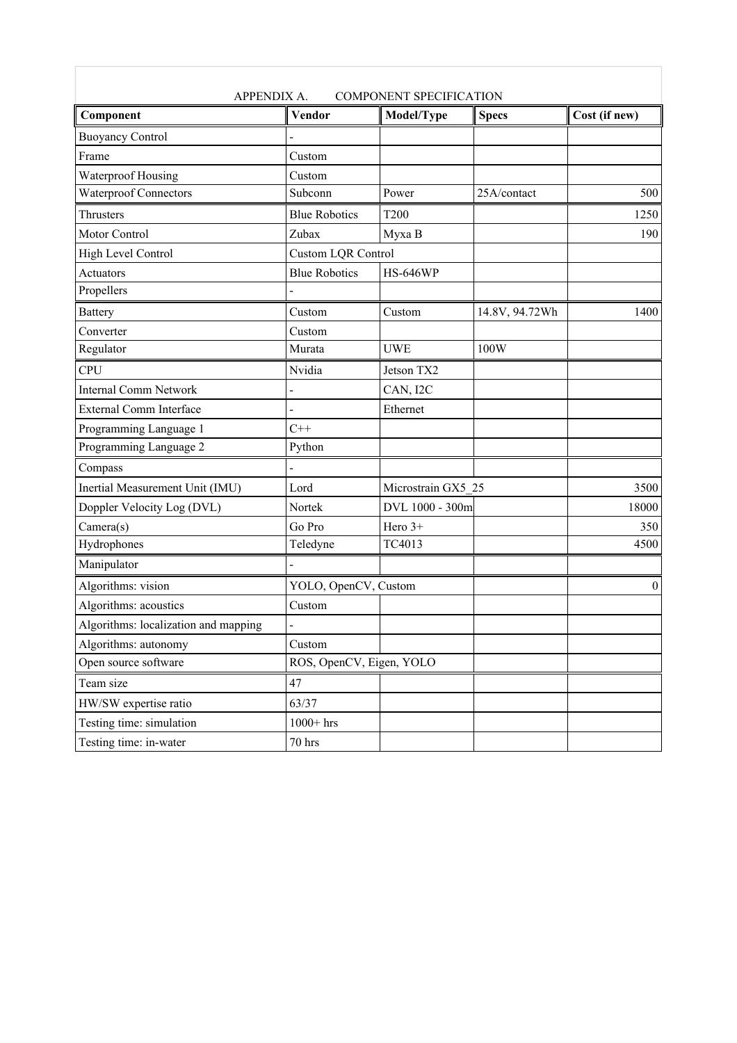| <b>COMPONENT SPECIFICATION</b><br><b>APPENDIX A.</b> |                           |                    |                |                  |
|------------------------------------------------------|---------------------------|--------------------|----------------|------------------|
| Component                                            | <b>Vendor</b>             | Model/Type         | <b>Specs</b>   | Cost (if new)    |
| <b>Buoyancy Control</b>                              |                           |                    |                |                  |
| Frame                                                | Custom                    |                    |                |                  |
| Waterproof Housing                                   | Custom                    |                    |                |                  |
| Waterproof Connectors                                | Subconn                   | Power              | 25A/contact    | 500              |
| Thrusters                                            | <b>Blue Robotics</b>      | <b>T200</b>        |                | 1250             |
| <b>Motor Control</b>                                 | Zubax                     | Myxa B             |                | 190              |
| High Level Control                                   | <b>Custom LQR Control</b> |                    |                |                  |
| Actuators                                            | <b>Blue Robotics</b>      | <b>HS-646WP</b>    |                |                  |
| Propellers                                           |                           |                    |                |                  |
| <b>Battery</b>                                       | Custom                    | Custom             | 14.8V, 94.72Wh | 1400             |
| Converter                                            | Custom                    |                    |                |                  |
| Regulator                                            | Murata                    | <b>UWE</b>         | 100W           |                  |
| <b>CPU</b>                                           | Nvidia                    | Jetson TX2         |                |                  |
| <b>Internal Comm Network</b>                         |                           | CAN, I2C           |                |                  |
| <b>External Comm Interface</b>                       |                           | Ethernet           |                |                  |
| Programming Language 1                               | $C++$                     |                    |                |                  |
| Programming Language 2                               | Python                    |                    |                |                  |
| Compass                                              |                           |                    |                |                  |
| Inertial Measurement Unit (IMU)                      | Lord                      | Microstrain GX5 25 |                | 3500             |
| Doppler Velocity Log (DVL)                           | Nortek                    | DVL 1000 - 300m    |                | 18000            |
| Camera(s)                                            | Go Pro                    | Hero 3+            |                | 350              |
| Hydrophones                                          | Teledyne                  | TC4013             |                | 4500             |
| Manipulator                                          |                           |                    |                |                  |
| Algorithms: vision                                   | YOLO, OpenCV, Custom      |                    |                | $\boldsymbol{0}$ |
| Algorithms: acoustics                                | Custom                    |                    |                |                  |
| Algorithms: localization and mapping                 |                           |                    |                |                  |
| Algorithms: autonomy                                 | Custom                    |                    |                |                  |
| Open source software                                 | ROS, OpenCV, Eigen, YOLO  |                    |                |                  |
| Team size                                            | 47                        |                    |                |                  |
| HW/SW expertise ratio                                | 63/37                     |                    |                |                  |
| Testing time: simulation                             | $1000+$ hrs               |                    |                |                  |
| Testing time: in-water                               | 70 hrs                    |                    |                |                  |